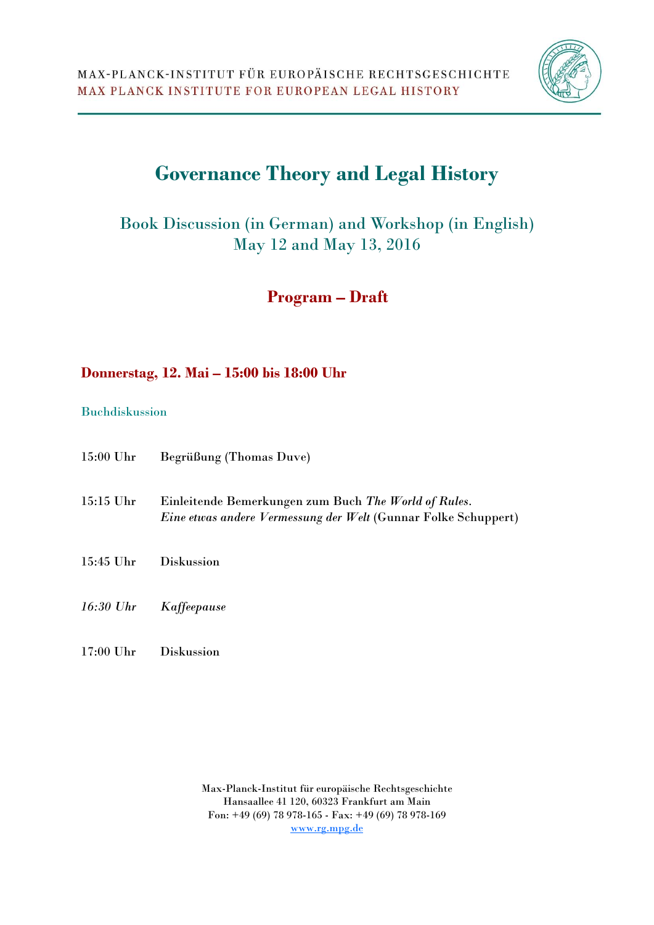

# **Governance Theory and Legal History**

Book Discussion (in German) and Workshop (in English) May 12 and May 13, 2016

 **Program – Draft** 

### **Donnerstag, 12. Mai – 15:00 bis 18:00 Uhr**

#### Buchdiskussion

| $15:00$ Uhr | Begrüßung (Thomas Duve)                                                                                                       |
|-------------|-------------------------------------------------------------------------------------------------------------------------------|
| $15:15$ Uhr | Einleitende Bemerkungen zum Buch The World of Rules.<br><i>Eine etwas andere Vermessung der Welt</i> (Gunnar Folke Schuppert) |
| 15:45 Uhr   | <b>Diskussion</b>                                                                                                             |
| 16:30 Uhr   | Kaffeepause                                                                                                                   |
| $17:00$ Uhr | <b>Diskussion</b>                                                                                                             |

Max-Planck-Institut für europäische Rechtsgeschichte Hansaallee 41 120, 60323 Frankfurt am Main Fon: +49 (69) 78 978-165 - Fax: +49 (69) 78 978-169 www.rg.mpg.de